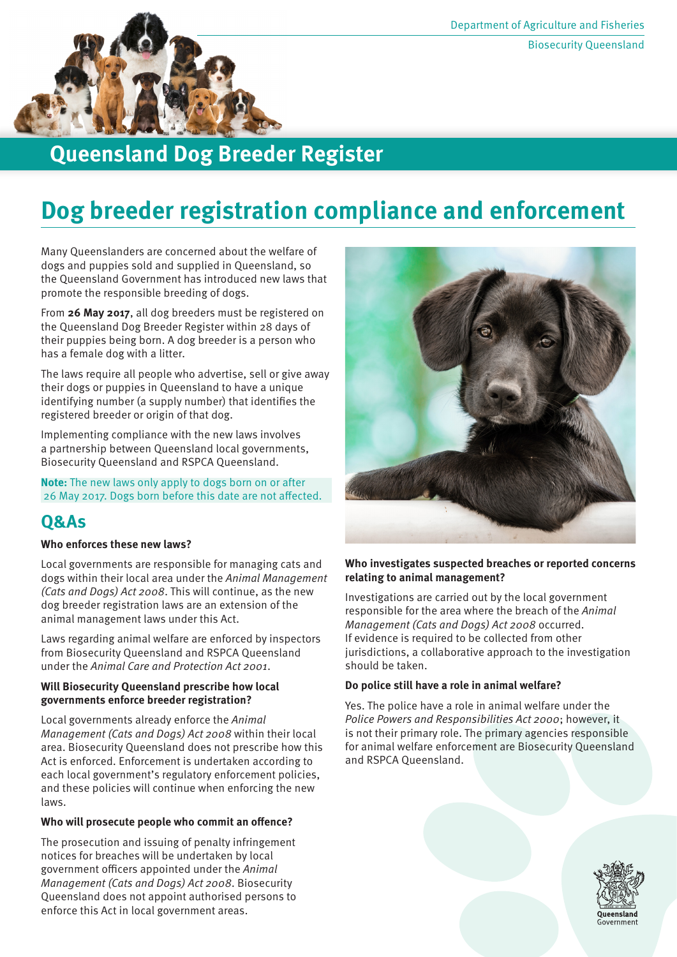

## **Queensland Dog Breeder Register**

# **Dog breeder registration compliance and enforcement**

Many Queenslanders are concerned about the welfare of dogs and puppies sold and supplied in Queensland, so the Queensland Government has introduced new laws that promote the responsible breeding of dogs.

From **26 May 2017**, all dog breeders must be registered on the Queensland Dog Breeder Register within 28 days of their puppies being born. A dog breeder is a person who has a female dog with a litter.

The laws require all people who advertise, sell or give away their dogs or puppies in Queensland to have a unique identifying number (a supply number) that identifies the registered breeder or origin of that dog.

Implementing compliance with the new laws involves a partnership between Queensland local governments, Biosecurity Queensland and RSPCA Queensland.

**Note:** The new laws only apply to dogs born on or after 26 May 2017. Dogs born before this date are not affected.

## **Q&As**

#### **Who enforces these new laws?**

Local governments are responsible for managing cats and dogs within their local area under the *Animal Management (Cats and Dogs) Act 2008*. This will continue, as the new dog breeder registration laws are an extension of the animal management laws under this Act.

Laws regarding animal welfare are enforced by inspectors from Biosecurity Queensland and RSPCA Queensland under the *Animal Care and Protection Act 2001*.

#### **Will Biosecurity Queensland prescribe how local governments enforce breeder registration?**

Local governments already enforce the *Animal Management (Cats and Dogs) Act 2008* within their local area. Biosecurity Queensland does not prescribe how this Act is enforced. Enforcement is undertaken according to each local government's regulatory enforcement policies, and these policies will continue when enforcing the new laws.

#### **Who will prosecute people who commit an offence?**

The prosecution and issuing of penalty infringement notices for breaches will be undertaken by local government officers appointed under the *Animal Management (Cats and Dogs) Act 2008*. Biosecurity Queensland does not appoint authorised persons to enforce this Act in local government areas.



#### **Who investigates suspected breaches or reported concerns relating to animal management?**

Investigations are carried out by the local government responsible for the area where the breach of the *Animal Management (Cats and Dogs) Act 2008* occurred. If evidence is required to be collected from other jurisdictions, a collaborative approach to the investigation should be taken.

#### **Do police still have a role in animal welfare?**

Yes. The police have a role in animal welfare under the *Police Powers and Responsibilities Act 2000*; however, it is not their primary role. The primary agencies responsible for animal welfare enforcement are Biosecurity Queensland and RSPCA Queensland.